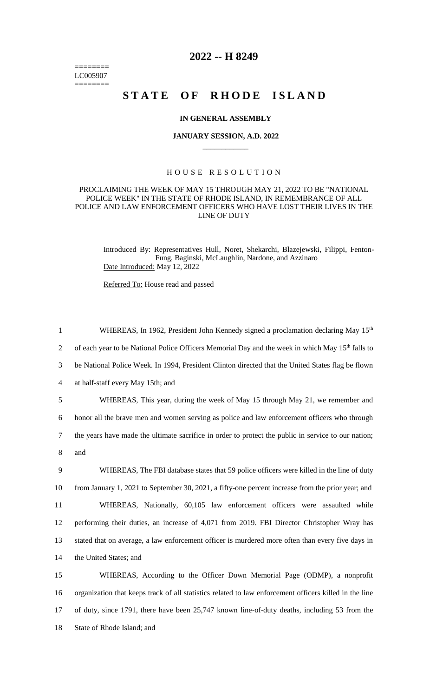======== LC005907 ========

# **2022 -- H 8249**

# STATE OF RHODE ISLAND

## **IN GENERAL ASSEMBLY**

#### **JANUARY SESSION, A.D. 2022 \_\_\_\_\_\_\_\_\_\_\_\_**

# H O U S E R E S O L U T I O N

## PROCLAIMING THE WEEK OF MAY 15 THROUGH MAY 21, 2022 TO BE "NATIONAL POLICE WEEK" IN THE STATE OF RHODE ISLAND, IN REMEMBRANCE OF ALL POLICE AND LAW ENFORCEMENT OFFICERS WHO HAVE LOST THEIR LIVES IN THE LINE OF DUTY

Introduced By: Representatives Hull, Noret, Shekarchi, Blazejewski, Filippi, Fenton-Fung, Baginski, McLaughlin, Nardone, and Azzinaro Date Introduced: May 12, 2022

Referred To: House read and passed

1 WHEREAS, In 1962, President John Kennedy signed a proclamation declaring May 15<sup>th</sup> 2 of each year to be National Police Officers Memorial Day and the week in which May 15<sup>th</sup> falls to be National Police Week. In 1994, President Clinton directed that the United States flag be flown at half-staff every May 15th; and WHEREAS, This year, during the week of May 15 through May 21, we remember and honor all the brave men and women serving as police and law enforcement officers who through the years have made the ultimate sacrifice in order to protect the public in service to our nation; 8 and WHEREAS, The FBI database states that 59 police officers were killed in the line of duty from January 1, 2021 to September 30, 2021, a fifty-one percent increase from the prior year; and WHEREAS, Nationally, 60,105 law enforcement officers were assaulted while performing their duties, an increase of 4,071 from 2019. FBI Director Christopher Wray has stated that on average, a law enforcement officer is murdered more often than every five days in the United States; and WHEREAS, According to the Officer Down Memorial Page (ODMP), a nonprofit organization that keeps track of all statistics related to law enforcement officers killed in the line

17 of duty, since 1791, there have been 25,747 known line-of-duty deaths, including 53 from the

18 State of Rhode Island; and